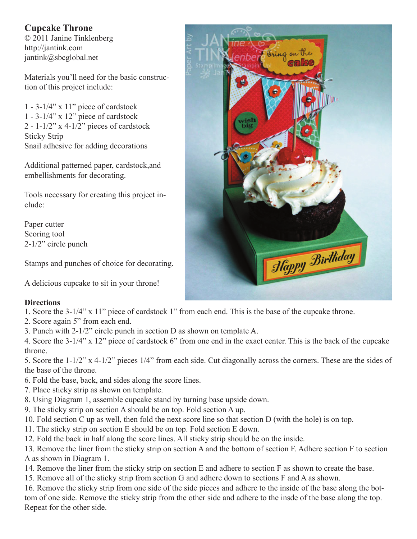## **Cupcake Throne**

© 2011 Janine Tinklenberg http://jantink.com jantink@sbcglobal.net

Materials you'll need for the basic construction of this project include:

 $1 - 3-1/4$ " x  $11$ " piece of cardstock  $1 - 3-1/4$ " x 12" piece of cardstock  $2 - 1 - 1/2$ " x 4-1/2" pieces of cardstock Sticky Strip Snail adhesive for adding decorations

Additional patterned paper, cardstock,and embellishments for decorating.

Tools necessary for creating this project include:

Paper cutter Scoring tool 2-1/2" circle punch

Stamps and punches of choice for decorating.

A delicious cupcake to sit in your throne!

## **Directions**

- 1. Score the 3-1/4" x 11" piece of cardstock 1" from each end. This is the base of the cupcake throne.
- 2. Score again 5" from each end.
- 3. Punch with 2-1/2" circle punch in section D as shown on template A.

4. Score the 3-1/4" x 12" piece of cardstock 6" from one end in the exact center. This is the back of the cupcake throne.

5. Score the 1-1/2" x 4-1/2" pieces 1/4" from each side. Cut diagonally across the corners. These are the sides of the base of the throne.

- 6. Fold the base, back, and sides along the score lines.
- 7. Place sticky strip as shown on template.
- 8. Using Diagram 1, assemble cupcake stand by turning base upside down.
- 9. The sticky strip on section A should be on top. Fold section A up.
- 10. Fold section C up as well, then fold the next score line so that section D (with the hole) is on top.
- 11. The sticky strip on section E should be on top. Fold section E down.
- 12. Fold the back in half along the score lines. All sticky strip should be on the inside.

13. Remove the liner from the sticky strip on section A and the bottom of section F. Adhere section F to section A as shown in Diagram 1.

- 14. Remove the liner from the sticky strip on section E and adhere to section F as shown to create the base.
- 15. Remove all of the sticky strip from section G and adhere down to sections F and A as shown.

16. Remove the sticky strip from one side of the side pieces and adhere to the inside of the base along the bottom of one side. Remove the sticky strip from the other side and adhere to the insde of the base along the top. Repeat for the other side.

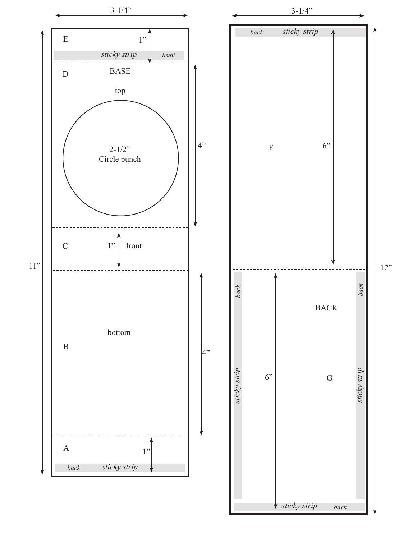